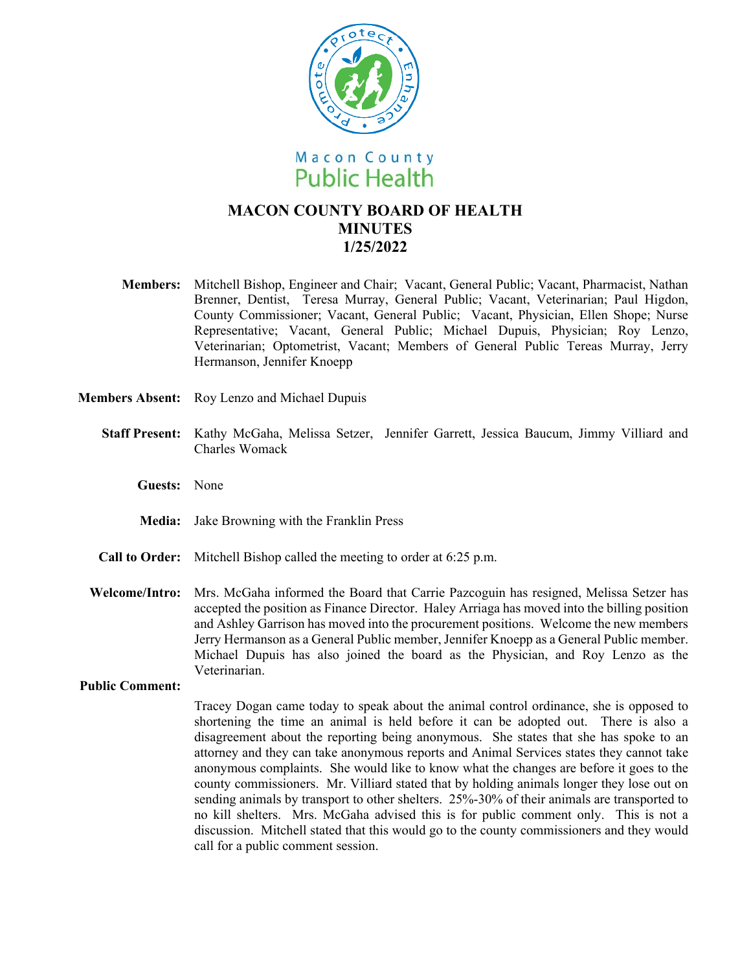

# **MACON COUNTY BOARD OF HEALTH MINUTES 1/25/2022**

- **Members:** Mitchell Bishop, Engineer and Chair; Vacant, General Public; Vacant, Pharmacist, Nathan Brenner, Dentist, Teresa Murray, General Public; Vacant, Veterinarian; Paul Higdon, County Commissioner; Vacant, General Public; Vacant, Physician, Ellen Shope; Nurse Representative; Vacant, General Public; Michael Dupuis, Physician; Roy Lenzo, Veterinarian; Optometrist, Vacant; Members of General Public Tereas Murray, Jerry Hermanson, Jennifer Knoepp
- **Members Absent:** Roy Lenzo and Michael Dupuis
	- **Staff Present:** Kathy McGaha, Melissa Setzer, Jennifer Garrett, Jessica Baucum, Jimmy Villiard and Charles Womack
		- **Guests:** None
		- **Media:**  Jake Browning with the Franklin Press
	- **Call to Order:**  Mitchell Bishop called the meeting to order at 6:25 p.m.
	- **Welcome/Intro:**  Mrs. McGaha informed the Board that Carrie Pazcoguin has resigned, Melissa Setzer has accepted the position as Finance Director. Haley Arriaga has moved into the billing position and Ashley Garrison has moved into the procurement positions. Welcome the new members Jerry Hermanson as a General Public member, Jennifer Knoepp as a General Public member. Michael Dupuis has also joined the board as the Physician, and Roy Lenzo as the Veterinarian.

## **Public Comment:**

Tracey Dogan came today to speak about the animal control ordinance, she is opposed to shortening the time an animal is held before it can be adopted out. There is also a disagreement about the reporting being anonymous. She states that she has spoke to an attorney and they can take anonymous reports and Animal Services states they cannot take anonymous complaints. She would like to know what the changes are before it goes to the county commissioners. Mr. Villiard stated that by holding animals longer they lose out on sending animals by transport to other shelters. 25%-30% of their animals are transported to no kill shelters. Mrs. McGaha advised this is for public comment only. This is not a discussion. Mitchell stated that this would go to the county commissioners and they would call for a public comment session.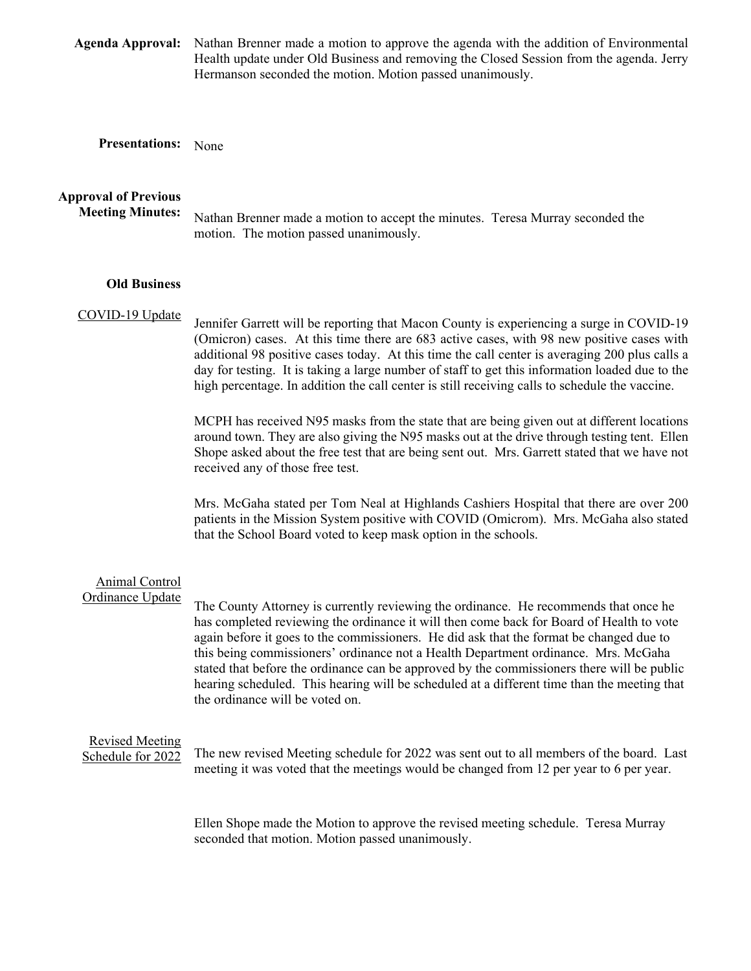**Agenda Approval:**  Nathan Brenner made a motion to approve the agenda with the addition of Environmental Health update under Old Business and removing the Closed Session from the agenda. Jerry Hermanson seconded the motion. Motion passed unanimously.

**Presentations:**  None

# **Approval of Previous**

**Meeting Minutes:**  Nathan Brenner made a motion to accept the minutes. Teresa Murray seconded the motion. The motion passed unanimously.

#### **Old Business**

#### COVID-19 Update

Jennifer Garrett will be reporting that Macon County is experiencing a surge in COVID-19 (Omicron) cases. At this time there are 683 active cases, with 98 new positive cases with additional 98 positive cases today. At this time the call center is averaging 200 plus calls a day for testing. It is taking a large number of staff to get this information loaded due to the high percentage. In addition the call center is still receiving calls to schedule the vaccine.

MCPH has received N95 masks from the state that are being given out at different locations around town. They are also giving the N95 masks out at the drive through testing tent. Ellen Shope asked about the free test that are being sent out. Mrs. Garrett stated that we have not received any of those free test.

Mrs. McGaha stated per Tom Neal at Highlands Cashiers Hospital that there are over 200 patients in the Mission System positive with COVID (Omicrom). Mrs. McGaha also stated that the School Board voted to keep mask option in the schools.

### Animal Control Ordinance Update

The County Attorney is currently reviewing the ordinance. He recommends that once he has completed reviewing the ordinance it will then come back for Board of Health to vote again before it goes to the commissioners. He did ask that the format be changed due to this being commissioners' ordinance not a Health Department ordinance. Mrs. McGaha stated that before the ordinance can be approved by the commissioners there will be public hearing scheduled. This hearing will be scheduled at a different time than the meeting that the ordinance will be voted on.

#### Revised Meeting Schedule for 2022

The new revised Meeting schedule for 2022 was sent out to all members of the board. Last meeting it was voted that the meetings would be changed from 12 per year to 6 per year.

Ellen Shope made the Motion to approve the revised meeting schedule. Teresa Murray seconded that motion. Motion passed unanimously.